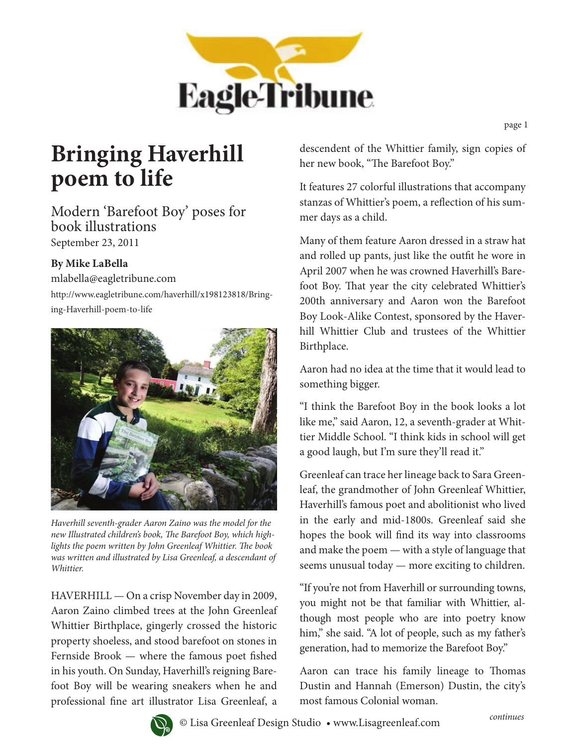

page 1

## **Bringing Haverhill poem to life**

Modern 'Barefoot Boy' poses for book illustrations September 23, 2011

## **By Mike LaBella**

mlabella@eagletribune.com http://www.eagletribune.com/haverhill/x198123818/Bringing-Haverhill-poem-to-life



*Haverhill seventh-grader Aaron Zaino was the model for the new Illustrated children's book, The Barefoot Boy, which highlights the poem written by John Greenleaf Whittier. The book was written and illustrated by Lisa Greenleaf, a descendant of Whittier.*

HAVERHILL — On a crisp November day in 2009, Aaron Zaino climbed trees at the John Greenleaf Whittier Birthplace, gingerly crossed the historic property shoeless, and stood barefoot on stones in Fernside Brook — where the famous poet fished in his youth. On Sunday, Haverhill's reigning Barefoot Boy will be wearing sneakers when he and professional fine art illustrator Lisa Greenleaf, a

descendent of the Whittier family, sign copies of her new book, "The Barefoot Boy."

It features 27 colorful illustrations that accompany stanzas of Whittier's poem, a reflection of his summer days as a child.

Many of them feature Aaron dressed in a straw hat and rolled up pants, just like the outfit he wore in April 2007 when he was crowned Haverhill's Barefoot Boy. That year the city celebrated Whittier's 200th anniversary and Aaron won the Barefoot Boy Look-Alike Contest, sponsored by the Haverhill Whittier Club and trustees of the Whittier Birthplace.

Aaron had no idea at the time that it would lead to something bigger.

"I think the Barefoot Boy in the book looks a lot like me," said Aaron, 12, a seventh-grader at Whittier Middle School. "I think kids in school will get a good laugh, but I'm sure they'll read it."

Greenleaf can trace her lineage back to Sara Greenleaf, the grandmother of John Greenleaf Whittier, Haverhill's famous poet and abolitionist who lived in the early and mid-1800s. Greenleaf said she hopes the book will find its way into classrooms and make the poem — with a style of language that seems unusual today — more exciting to children.

"If you're not from Haverhill or surrounding towns, you might not be that familiar with Whittier, although most people who are into poetry know him," she said. "A lot of people, such as my father's generation, had to memorize the Barefoot Boy."

Aaron can trace his family lineage to Thomas Dustin and Hannah (Emerson) Dustin, the city's most famous Colonial woman.

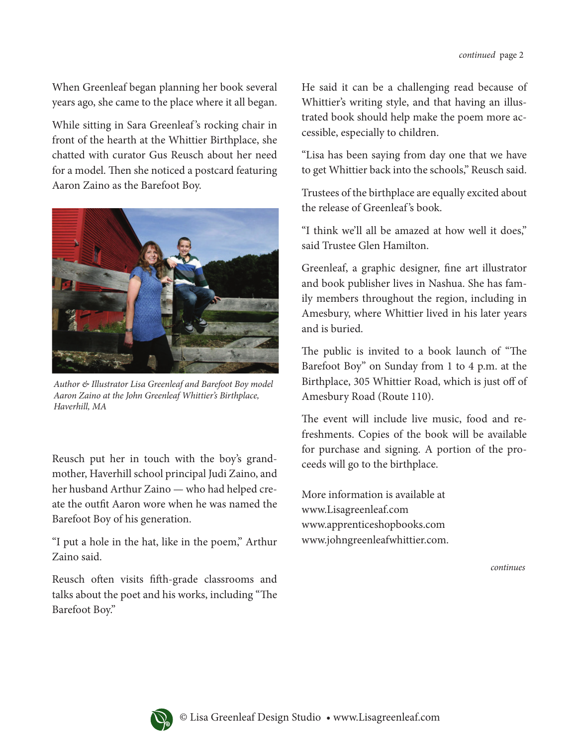When Greenleaf began planning her book several years ago, she came to the place where it all began.

While sitting in Sara Greenleaf's rocking chair in front of the hearth at the Whittier Birthplace, she chatted with curator Gus Reusch about her need for a model. Then she noticed a postcard featuring Aaron Zaino as the Barefoot Boy.



*Author & Illustrator Lisa Greenleaf and Barefoot Boy model Aaron Zaino at the John Greenleaf Whittier's Birthplace, Haverhill, MA*

Reusch put her in touch with the boy's grandmother, Haverhill school principal Judi Zaino, and her husband Arthur Zaino — who had helped create the outfit Aaron wore when he was named the Barefoot Boy of his generation.

"I put a hole in the hat, like in the poem," Arthur Zaino said.

Reusch often visits fifth-grade classrooms and talks about the poet and his works, including "The Barefoot Boy.''

He said it can be a challenging read because of Whittier's writing style, and that having an illustrated book should help make the poem more accessible, especially to children.

"Lisa has been saying from day one that we have to get Whittier back into the schools," Reusch said.

Trustees of the birthplace are equally excited about the release of Greenleaf 's book.

"I think we'll all be amazed at how well it does," said Trustee Glen Hamilton.

Greenleaf, a graphic designer, fine art illustrator and book publisher lives in Nashua. She has family members throughout the region, including in Amesbury, where Whittier lived in his later years and is buried.

The public is invited to a book launch of "The Barefoot Boy" on Sunday from 1 to 4 p.m. at the Birthplace, 305 Whittier Road, which is just off of Amesbury Road (Route 110).

The event will include live music, food and refreshments. Copies of the book will be available for purchase and signing. A portion of the proceeds will go to the birthplace.

More information is available at www.Lisagreenleaf.com www.apprenticeshopbooks.com www.johngreenleafwhittier.com.

*continues*